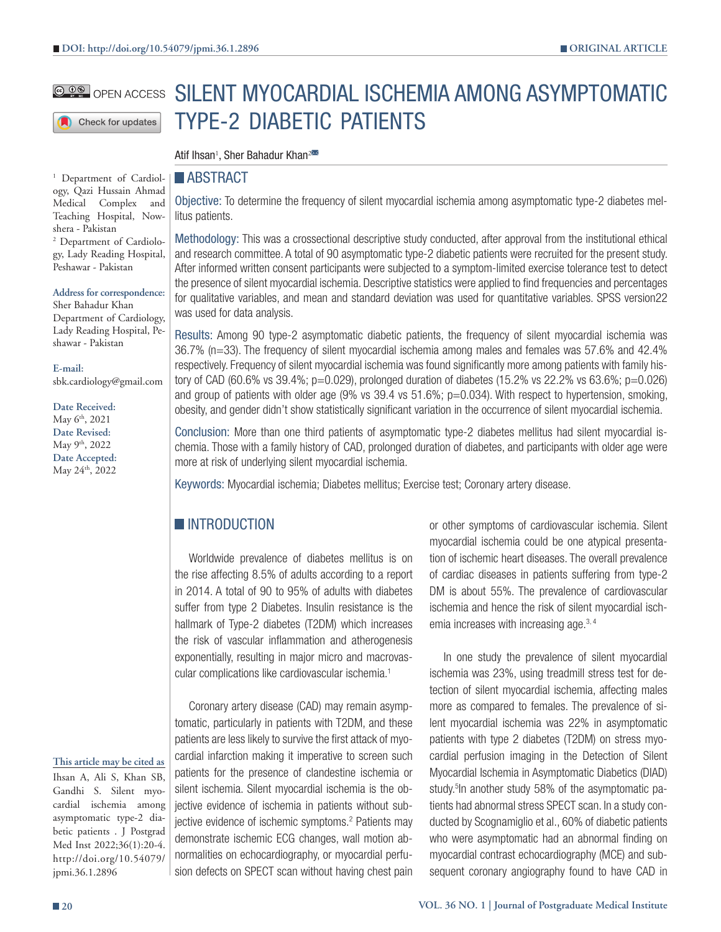### SILENT MYOCARDIAL ISCHEMIA AMONG ASYMPTOMATIC **@ DO** OPEN ACCESS TYPE-2 DIABETIC PATIENTS Check for updates

Atif Ihsan<sup>1</sup>, Sher Bahadur Khan<sup>2</sup>

## **ABSTRACT**

<sup>1</sup> Department of Cardiology, Qazi Hussain Ahmad Medical Complex and Teaching Hospital, Nowshera - Pakistan 2 Department of Cardiolo-

gy, Lady Reading Hospital, Peshawar - Pakistan

**Address for correspondence:** Sher Bahadur Khan Department of Cardiology, Lady Reading Hospital, Peshawar - Pakistan

**E-mail:** sbk.cardiology@gmail.com

**Date Received:** May 6<sup>th</sup>, 2021 **Date Revised:** May 9<sup>th</sup>, 2022 **Date Accepted:** May 24th, 2022

Objective: To determine the frequency of silent myocardial ischemia among asymptomatic type-2 diabetes mellitus patients.

Methodology: This was a crossectional descriptive study conducted, after approval from the institutional ethical and research committee. A total of 90 asymptomatic type-2 diabetic patients were recruited for the present study. After informed written consent participants were subjected to a symptom-limited exercise tolerance test to detect the presence of silent myocardial ischemia. Descriptive statistics were applied to find frequencies and percentages for qualitative variables, and mean and standard deviation was used for quantitative variables. SPSS version22 was used for data analysis.

Results: Among 90 type-2 asymptomatic diabetic patients, the frequency of silent myocardial ischemia was 36.7% (n=33). The frequency of silent myocardial ischemia among males and females was 57.6% and 42.4% respectively. Frequency of silent myocardial ischemia was found significantly more among patients with family history of CAD (60.6% vs 39.4%; p=0.029), prolonged duration of diabetes (15.2% vs 22.2% vs 63.6%; p=0.026) and group of patients with older age (9% vs 39.4 vs 51.6%; p=0.034). With respect to hypertension, smoking, obesity, and gender didn't show statistically significant variation in the occurrence of silent myocardial ischemia.

Conclusion: More than one third patients of asymptomatic type-2 diabetes mellitus had silent myocardial ischemia. Those with a family history of CAD, prolonged duration of diabetes, and participants with older age were more at risk of underlying silent myocardial ischemia.

Keywords: Myocardial ischemia; Diabetes mellitus; Exercise test; Coronary artery disease.

# **INTRODUCTION**

Worldwide prevalence of diabetes mellitus is on the rise affecting 8.5% of adults according to a report in 2014. A total of 90 to 95% of adults with diabetes suffer from type 2 Diabetes. Insulin resistance is the hallmark of Type-2 diabetes (T2DM) which increases the risk of vascular inflammation and atherogenesis exponentially, resulting in major micro and macrovascular complications like cardiovascular ischemia.<sup>1</sup>

Coronary artery disease (CAD) may remain asymptomatic, particularly in patients with T2DM, and these patients are less likely to survive the first attack of myocardial infarction making it imperative to screen such patients for the presence of clandestine ischemia or silent ischemia. Silent myocardial ischemia is the objective evidence of ischemia in patients without subjective evidence of ischemic symptoms.<sup>2</sup> Patients may demonstrate ischemic ECG changes, wall motion abnormalities on echocardiography, or myocardial perfusion defects on SPECT scan without having chest pain

or other symptoms of cardiovascular ischemia. Silent myocardial ischemia could be one atypical presentation of ischemic heart diseases. The overall prevalence of cardiac diseases in patients suffering from type-2 DM is about 55%. The prevalence of cardiovascular ischemia and hence the risk of silent myocardial ischemia increases with increasing age.3, 4

In one study the prevalence of silent myocardial ischemia was 23%, using treadmill stress test for detection of silent myocardial ischemia, affecting males more as compared to females. The prevalence of silent myocardial ischemia was 22% in asymptomatic patients with type 2 diabetes (T2DM) on stress myocardial perfusion imaging in the Detection of Silent Myocardial Ischemia in Asymptomatic Diabetics (DIAD) study.<sup>5</sup> In another study 58% of the asymptomatic patients had abnormal stress SPECT scan. In a study conducted by Scognamiglio et al., 60% of diabetic patients who were asymptomatic had an abnormal finding on myocardial contrast echocardiography (MCE) and subsequent coronary angiography found to have CAD in

**This article may be cited as**

Ihsan A, Ali S, Khan SB, Gandhi S. Silent myocardial ischemia among asymptomatic type-2 diabetic patients . J Postgrad Med Inst 2022;36(1):20-4. http://doi.org/10.54079/ jpmi.36.1.2896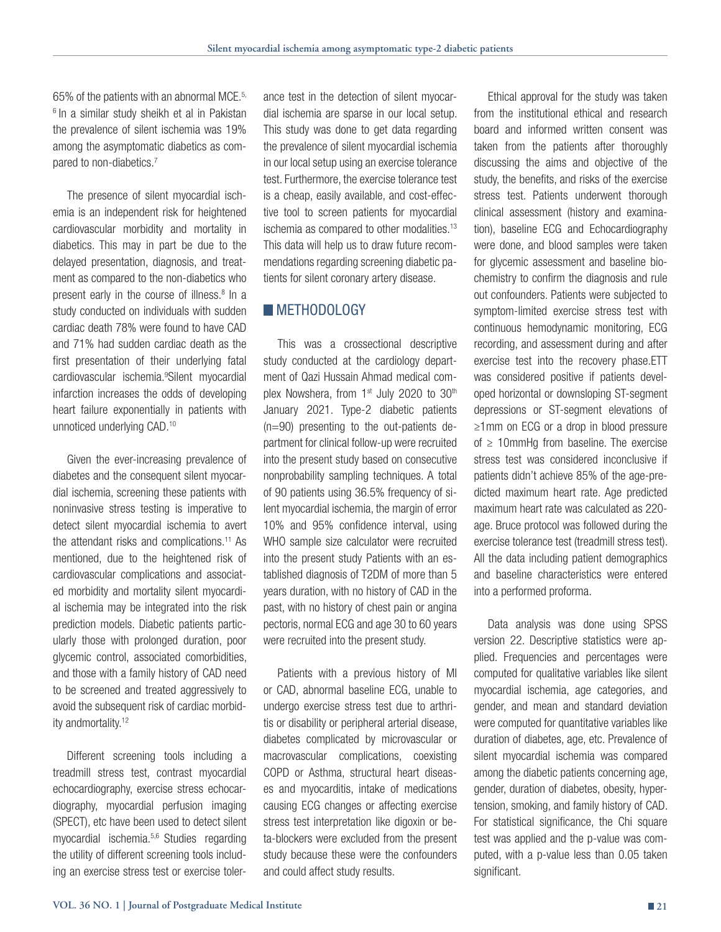65% of the patients with an abnormal MCE.5, <sup>6</sup> In a similar study sheikh et al in Pakistan the prevalence of silent ischemia was 19% among the asymptomatic diabetics as compared to non-diabetics.<sup>7</sup>

The presence of silent myocardial ischemia is an independent risk for heightened cardiovascular morbidity and mortality in diabetics. This may in part be due to the delayed presentation, diagnosis, and treatment as compared to the non-diabetics who present early in the course of illness.<sup>8</sup> In a study conducted on individuals with sudden cardiac death 78% were found to have CAD and 71% had sudden cardiac death as the first presentation of their underlying fatal cardiovascular ischemia.9 Silent myocardial infarction increases the odds of developing heart failure exponentially in patients with unnoticed underlying CAD.<sup>10</sup>

Given the ever-increasing prevalence of diabetes and the consequent silent myocardial ischemia, screening these patients with noninvasive stress testing is imperative to detect silent myocardial ischemia to avert the attendant risks and complications.<sup>11</sup> As mentioned, due to the heightened risk of cardiovascular complications and associated morbidity and mortality silent myocardial ischemia may be integrated into the risk prediction models. Diabetic patients particularly those with prolonged duration, poor glycemic control, associated comorbidities, and those with a family history of CAD need to be screened and treated aggressively to avoid the subsequent risk of cardiac morbidity andmortality.<sup>12</sup>

Different screening tools including a treadmill stress test, contrast myocardial echocardiography, exercise stress echocardiography, myocardial perfusion imaging (SPECT), etc have been used to detect silent myocardial ischemia.5,6 Studies regarding the utility of different screening tools including an exercise stress test or exercise tolerance test in the detection of silent myocardial ischemia are sparse in our local setup. This study was done to get data regarding the prevalence of silent myocardial ischemia in our local setup using an exercise tolerance test. Furthermore, the exercise tolerance test is a cheap, easily available, and cost-effective tool to screen patients for myocardial ischemia as compared to other modalities.13 This data will help us to draw future recommendations regarding screening diabetic patients for silent coronary artery disease.

### **METHODOLOGY**

This was a crossectional descriptive study conducted at the cardiology department of Qazi Hussain Ahmad medical complex Nowshera, from  $1<sup>st</sup>$  July 2020 to 30<sup>th</sup> January 2021. Type-2 diabetic patients (n=90) presenting to the out-patients department for clinical follow-up were recruited into the present study based on consecutive nonprobability sampling techniques. A total of 90 patients using 36.5% frequency of silent myocardial ischemia, the margin of error 10% and 95% confidence interval, using WHO sample size calculator were recruited into the present study Patients with an established diagnosis of T2DM of more than 5 years duration, with no history of CAD in the past, with no history of chest pain or angina pectoris, normal ECG and age 30 to 60 years were recruited into the present study.

Patients with a previous history of MI or CAD, abnormal baseline ECG, unable to undergo exercise stress test due to arthritis or disability or peripheral arterial disease, diabetes complicated by microvascular or macrovascular complications, coexisting COPD or Asthma, structural heart diseases and myocarditis, intake of medications causing ECG changes or affecting exercise stress test interpretation like digoxin or beta-blockers were excluded from the present study because these were the confounders and could affect study results.

Ethical approval for the study was taken from the institutional ethical and research board and informed written consent was taken from the patients after thoroughly discussing the aims and objective of the study, the benefits, and risks of the exercise stress test. Patients underwent thorough clinical assessment (history and examination), baseline ECG and Echocardiography were done, and blood samples were taken for glycemic assessment and baseline biochemistry to confirm the diagnosis and rule out confounders. Patients were subjected to symptom-limited exercise stress test with continuous hemodynamic monitoring, ECG recording, and assessment during and after exercise test into the recovery phase.ETT was considered positive if patients developed horizontal or downsloping ST-segment depressions or ST-segment elevations of ≥1mm on ECG or a drop in blood pressure of  $\geq$  10mmHg from baseline. The exercise stress test was considered inconclusive if patients didn't achieve 85% of the age-predicted maximum heart rate. Age predicted maximum heart rate was calculated as 220 age. Bruce protocol was followed during the exercise tolerance test (treadmill stress test). All the data including patient demographics and baseline characteristics were entered into a performed proforma.

Data analysis was done using SPSS version 22. Descriptive statistics were applied. Frequencies and percentages were computed for qualitative variables like silent myocardial ischemia, age categories, and gender, and mean and standard deviation were computed for quantitative variables like duration of diabetes, age, etc. Prevalence of silent myocardial ischemia was compared among the diabetic patients concerning age, gender, duration of diabetes, obesity, hypertension, smoking, and family history of CAD. For statistical significance, the Chi square test was applied and the p-value was computed, with a p-value less than 0.05 taken significant.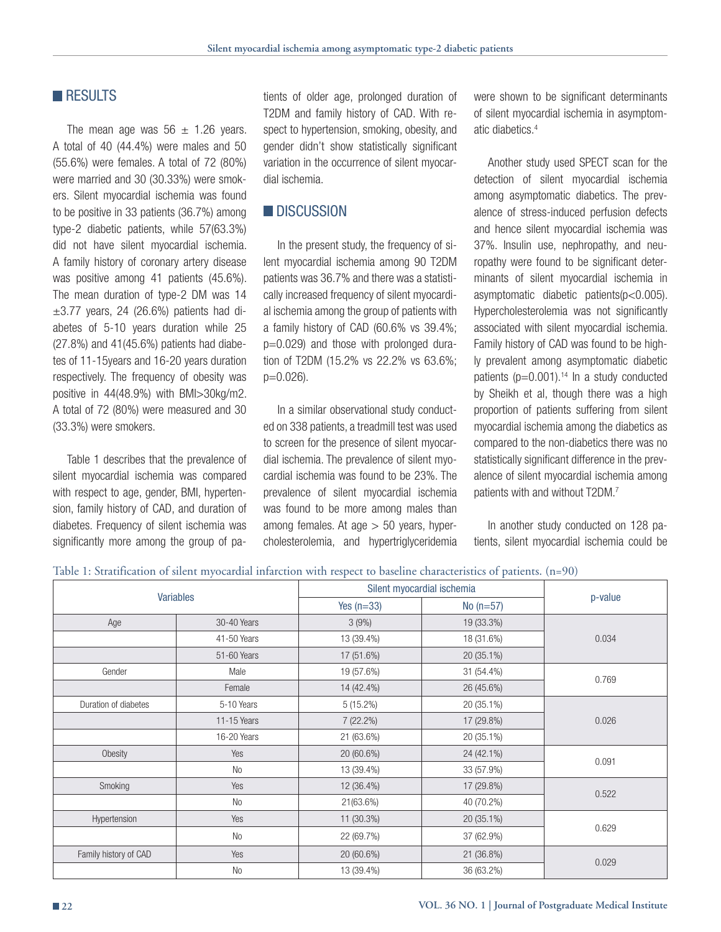## **RESULTS**

The mean age was  $56 \pm 1.26$  years. A total of 40 (44.4%) were males and 50 (55.6%) were females. A total of 72 (80%) were married and 30 (30.33%) were smokers. Silent myocardial ischemia was found to be positive in 33 patients (36.7%) among type-2 diabetic patients, while 57(63.3%) did not have silent myocardial ischemia. A family history of coronary artery disease was positive among 41 patients (45.6%). The mean duration of type-2 DM was 14  $\pm 3.77$  years, 24 (26.6%) patients had diabetes of 5-10 years duration while 25 (27.8%) and 41(45.6%) patients had diabetes of 11-15years and 16-20 years duration respectively. The frequency of obesity was positive in 44(48.9%) with BMI>30kg/m2. A total of 72 (80%) were measured and 30 (33.3%) were smokers.

Table 1 describes that the prevalence of silent myocardial ischemia was compared with respect to age, gender, BMI, hypertension, family history of CAD, and duration of diabetes. Frequency of silent ischemia was significantly more among the group of pa-

tients of older age, prolonged duration of T2DM and family history of CAD. With respect to hypertension, smoking, obesity, and gender didn't show statistically significant variation in the occurrence of silent myocardial ischemia.

## **DISCUSSION**

In the present study, the frequency of silent myocardial ischemia among 90 T2DM patients was 36.7% and there was a statistically increased frequency of silent myocardial ischemia among the group of patients with a family history of CAD (60.6% vs 39.4%; p=0.029) and those with prolonged duration of T2DM (15.2% vs 22.2% vs 63.6%;  $p=0.026$ ).

In a similar observational study conducted on 338 patients, a treadmill test was used to screen for the presence of silent myocardial ischemia. The prevalence of silent myocardial ischemia was found to be 23%. The prevalence of silent myocardial ischemia was found to be more among males than among females. At age  $> 50$  years, hypercholesterolemia, and hypertriglyceridemia

were shown to be significant determinants of silent myocardial ischemia in asymptomatic diabetics.4

Another study used SPECT scan for the detection of silent myocardial ischemia among asymptomatic diabetics. The prevalence of stress-induced perfusion defects and hence silent myocardial ischemia was 37%. Insulin use, nephropathy, and neuropathy were found to be significant determinants of silent myocardial ischemia in asymptomatic diabetic patients(p<0.005). Hypercholesterolemia was not significantly associated with silent myocardial ischemia. Family history of CAD was found to be highly prevalent among asymptomatic diabetic patients  $(p=0.001).$ <sup>14</sup> In a study conducted by Sheikh et al, though there was a high proportion of patients suffering from silent myocardial ischemia among the diabetics as compared to the non-diabetics there was no statistically significant difference in the prevalence of silent myocardial ischemia among patients with and without T2DM.7

In another study conducted on 128 patients, silent myocardial ischemia could be

#### Table 1: Stratification of silent myocardial infarction with respect to baseline characteristics of patients. (n=90)

| <b>Variables</b>      |                | Silent myocardial ischemia |             | p-value |
|-----------------------|----------------|----------------------------|-------------|---------|
|                       |                | Yes $(n=33)$               | No $(n=57)$ |         |
| Age                   | 30-40 Years    | 3(9%)                      | 19 (33.3%)  | 0.034   |
|                       | 41-50 Years    | 13 (39.4%)                 | 18 (31.6%)  |         |
|                       | 51-60 Years    | 17 (51.6%)                 | 20 (35.1%)  |         |
| Gender                | Male           | 19 (57.6%)                 | 31 (54.4%)  | 0.769   |
|                       | Female         | 14 (42.4%)                 | 26 (45.6%)  |         |
| Duration of diabetes  | 5-10 Years     | $5(15.2\%)$                | 20 (35.1%)  | 0.026   |
|                       | 11-15 Years    | 7 (22.2%)                  | 17 (29.8%)  |         |
|                       | 16-20 Years    | 21 (63.6%)                 | 20 (35.1%)  |         |
| Obesity               | Yes            | 20 (60.6%)                 | 24 (42.1%)  | 0.091   |
|                       | No             | 13 (39.4%)                 | 33 (57.9%)  |         |
| Smoking               | Yes            | 12 (36.4%)                 | 17 (29.8%)  | 0.522   |
|                       | N <sub>o</sub> | 21(63.6%)                  | 40 (70.2%)  |         |
| Hypertension          | Yes            | 11 (30.3%)                 | 20 (35.1%)  | 0.629   |
|                       | No             | 22 (69.7%)                 | 37 (62.9%)  |         |
| Family history of CAD | Yes            | 20 (60.6%)                 | 21 (36.8%)  | 0.029   |
|                       | No             | 13 (39.4%)                 | 36 (63.2%)  |         |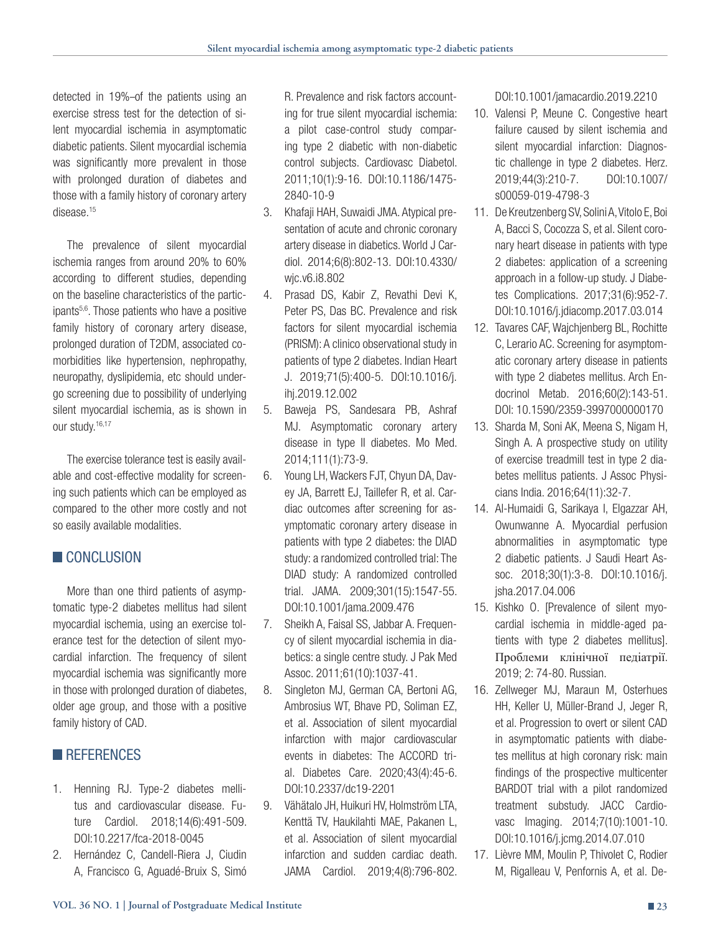detected in 19%-of the patients using an exercise stress test for the detection of silent myocardial ischemia in asymptomatic diabetic patients. Silent myocardial ischemia was significantly more prevalent in those with prolonged duration of diabetes and those with a family history of coronary artery disease.<sup>15</sup>

The prevalence of silent myocardial ischemia ranges from around 20% to 60% according to different studies, depending on the baseline characteristics of the participants<sup>5,6</sup>. Those patients who have a positive family history of coronary artery disease, prolonged duration of T2DM, associated comorbidities like hypertension, nephropathy, neuropathy, dyslipidemia, etc should undergo screening due to possibility of underlying silent myocardial ischemia, as is shown in our study.<sup>16,17</sup>

The exercise tolerance test is easily available and cost-effective modality for screening such patients which can be employed as compared to the other more costly and not so easily available modalities.

## **CONCLUSION**

More than one third patients of asymptomatic type-2 diabetes mellitus had silent myocardial ischemia, using an exercise tolerance test for the detection of silent myocardial infarction. The frequency of silent myocardial ischemia was significantly more in those with prolonged duration of diabetes, older age group, and those with a positive family history of CAD.

## **REFERENCES**

- 1. Henning RJ. Type-2 diabetes mellitus and cardiovascular disease. Future Cardiol. 2018;14(6):491-509. DOI:10.2217/fca-2018-0045
- 2. Hernández C, Candell-Riera J, Ciudin A, Francisco G, Aguadé-Bruix S, Simó

R. Prevalence and risk factors accounting for true silent myocardial ischemia: a pilot case-control study comparing type 2 diabetic with non-diabetic control subjects. Cardiovasc Diabetol. 2011;10(1):9-16. DOI:10.1186/1475- 2840-10-9

- 3. Khafaji HAH, Suwaidi JMA. Atypical presentation of acute and chronic coronary artery disease in diabetics. World J Cardiol. 2014;6(8):802-13. DOI:10.4330/ wjc.v6.i8.802
- 4. Prasad DS, Kabir Z, Revathi Devi K, Peter PS, Das BC. Prevalence and risk factors for silent myocardial ischemia (PRISM): A clinico observational study in patients of type 2 diabetes. Indian Heart J. 2019;71(5):400-5. DOI:10.1016/j. ihj.2019.12.002
- 5. Baweja PS, Sandesara PB, Ashraf MJ. Asymptomatic coronary artery disease in type II diabetes. Mo Med. 2014;111(1):73-9.
- 6. Young LH, Wackers FJT, Chyun DA, Davey JA, Barrett EJ, Taillefer R, et al. Cardiac outcomes after screening for asymptomatic coronary artery disease in patients with type 2 diabetes: the DIAD study: a randomized controlled trial: The DIAD study: A randomized controlled trial. JAMA. 2009;301(15):1547-55. DOI:10.1001/jama.2009.476
- 7. Sheikh A, Faisal SS, Jabbar A. Frequency of silent myocardial ischemia in diabetics: a single centre study. J Pak Med Assoc. 2011;61(10):1037-41.
- 8. Singleton MJ, German CA, Bertoni AG, Ambrosius WT, Bhave PD, Soliman EZ, et al. Association of silent myocardial infarction with major cardiovascular events in diabetes: The ACCORD trial. Diabetes Care. 2020;43(4):45-6. DOI:10.2337/dc19-2201
- 9. Vähätalo JH, Huikuri HV, Holmström LTA, Kenttä TV, Haukilahti MAE, Pakanen L, et al. Association of silent myocardial infarction and sudden cardiac death. JAMA Cardiol. 2019;4(8):796-802.

DOI:10.1001/jamacardio.2019.2210

- 10. Valensi P, Meune C. Congestive heart failure caused by silent ischemia and silent myocardial infarction: Diagnostic challenge in type 2 diabetes. Herz. 2019;44(3):210-7. DOI:10.1007/ s00059-019-4798-3
- 11. De Kreutzenberg SV, Solini A, Vitolo E, Boi A, Bacci S, Cocozza S, et al. Silent coronary heart disease in patients with type 2 diabetes: application of a screening approach in a follow-up study. J Diabetes Complications. 2017;31(6):952-7. DOI:10.1016/j.jdiacomp.2017.03.014
- 12. Tavares CAF, Wajchjenberg BL, Rochitte C, Lerario AC. Screening for asymptomatic coronary artery disease in patients with type 2 diabetes mellitus. Arch Endocrinol Metab. 2016;60(2):143-51. DOI: 10.1590/2359-3997000000170
- 13. Sharda M, Soni AK, Meena S, Nigam H, Singh A. A prospective study on utility of exercise treadmill test in type 2 diabetes mellitus patients. J Assoc Physicians India. 2016;64(11):32-7.
- 14. Al-Humaidi G, Sarikaya I, Elgazzar AH, Owunwanne A. Myocardial perfusion abnormalities in asymptomatic type 2 diabetic patients. J Saudi Heart Assoc. 2018;30(1):3-8. DOI:10.1016/j. jsha.2017.04.006
- 15. Kishko O. [Prevalence of silent myocardial ischemia in middle-aged patients with type 2 diabetes mellitus]. Проблеми клінічної педіатрії. 2019; 2: 74-80. Russian.
- 16. Zellweger MJ, Maraun M, Osterhues HH, Keller U, Müller-Brand J, Jeger R, et al. Progression to overt or silent CAD in asymptomatic patients with diabetes mellitus at high coronary risk: main findings of the prospective multicenter BARDOT trial with a pilot randomized treatment substudy. JACC Cardiovasc Imaging. 2014;7(10):1001-10. DOI:10.1016/j.jcmg.2014.07.010
- 17. Lièvre MM, Moulin P, Thivolet C, Rodier M, Rigalleau V, Penfornis A, et al. De-